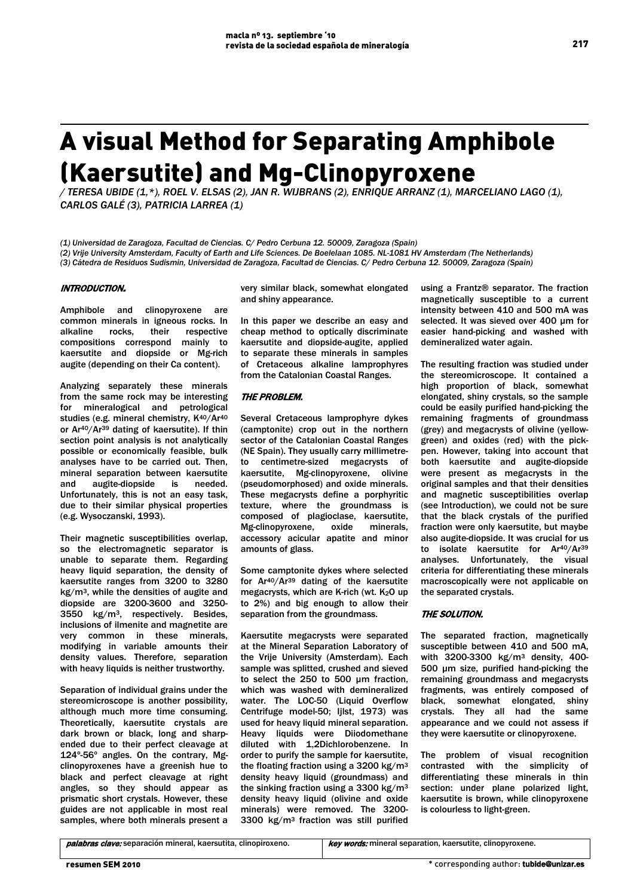# A visual Method for Separating Amphibole (Kaersutite) and Mg-Clinopyroxene

*/ TERESA UBIDE (1,\*), ROEL V. ELSAS (2), JAN R. WIJBRANS (2), ENRIQUE ARRANZ (1), MARCELIANO LAGO (1), CARLOS GALÉ (3), PATRICIA LARREA (1)*

*(1) Universidad de Zaragoza, Facultad de Ciencias. C/ Pedro Cerbuna 12. 50009, Zaragoza (Spain)*

*(2) Vrije University Amsterdam, Faculty of Earth and Life Sciences. De Boelelaan 1085. NL-1081 HV Amsterdam (The Netherlands)*

*(3) Cátedra de Residuos Sudismin, Universidad de Zaragoza, Facultad de Ciencias. C/ Pedro Cerbuna 12. 50009, Zaragoza (Spain)* 

## INTRODUCTION.

Amphibole and clinopyroxene are common minerals in igneous rocks. In<br>alkaline rocks, their respective rocks, their compositions correspond mainly to kaersutite and diopside or Mg-rich augite (depending on their Ca content).

Analyzing separately these minerals from the same rock may be interesting for mineralogical and petrological studies (e.g. mineral chemistry, K40/Ar40 or Ar40/Ar39 dating of kaersutite). If thin section point analysis is not analytically possible or economically feasible, bulk analyses have to be carried out. Then, mineral separation between kaersutite and augite-diopside is needed. Unfortunately, this is not an easy task, due to their similar physical properties (e.g. Wysoczanski, 1993).

Their magnetic susceptibilities overlap, so the electromagnetic separator is unable to separate them. Regarding heavy liquid separation, the density of kaersutite ranges from 3200 to 3280 kg/m3, while the densities of augite and diopside are 3200-3600 and 3250- 3550 kg/m3, respectively. Besides, inclusions of ilmenite and magnetite are very common in these minerals, modifying in variable amounts their density values. Therefore, separation with heavy liquids is neither trustworthy.

Separation of individual grains under the stereomicroscope is another possibility, although much more time consuming. Theoretically, kaersutite crystals are dark brown or black, long and sharpended due to their perfect cleavage at 124º-56º angles. On the contrary, Mgclinopyroxenes have a greenish hue to black and perfect cleavage at right angles, so they should appear as prismatic short crystals. However, these guides are not applicable in most real samples, where both minerals present a

very similar black, somewhat elongated and shiny appearance.

In this paper we describe an easy and cheap method to optically discriminate kaersutite and diopside-augite, applied to separate these minerals in samples of Cretaceous alkaline lamprophyres from the Catalonian Coastal Ranges.

## THE PROBLEM.

Several Cretaceous lamprophyre dykes (camptonite) crop out in the northern sector of the Catalonian Coastal Ranges (NE Spain). They usually carry millimetreto centimetre-sized megacrysts of kaersutite, Mg-clinopyroxene, olivine (pseudomorphosed) and oxide minerals. These megacrysts define a porphyritic texture, where the groundmass is composed of plagioclase, kaersutite, Mg-clinopyroxene, oxide minerals, accessory acicular apatite and minor amounts of glass.

Some camptonite dykes where selected for Ar40/Ar39 dating of the kaersutite megacrysts, which are K-rich (wt.  $K<sub>2</sub>O$  up to 2%) and big enough to allow their separation from the groundmass.

Kaersutite megacrysts were separated at the Mineral Separation Laboratory of the Vrije University (Amsterdam). Each sample was splitted, crushed and sieved to select the 250 to 500 µm fraction, which was washed with demineralized water. The LOC-50 (Liquid Overflow Centrifuge model-50; Ijlst, 1973) was used for heavy liquid mineral separation. Heavy liquids were Diiodomethane diluted with 1,2Dichlorobenzene. In order to purify the sample for kaersutite, the floating fraction using a 3200 kg/m3 density heavy liquid (groundmass) and the sinking fraction using a 3300 kg/m<sup>3</sup> density heavy liquid (olivine and oxide minerals) were removed. The 3200- 3300 kg/m3 fraction was still purified using a Frantz® separator. The fraction magnetically susceptible to a current intensity between 410 and 500 mA was selected. It was sieved over 400 µm for easier hand-picking and washed with demineralized water again.

The resulting fraction was studied under the stereomicroscope. It contained a high proportion of black, somewhat elongated, shiny crystals, so the sample could be easily purified hand-picking the remaining fragments of groundmass (grey) and megacrysts of olivine (yellowgreen) and oxides (red) with the pickpen. However, taking into account that both kaersutite and augite-diopside were present as megacrysts in the original samples and that their densities and magnetic susceptibilities overlap (see Introduction), we could not be sure that the black crystals of the purified fraction were only kaersutite, but maybe also augite-diopside. It was crucial for us to isolate kaersutite for Ar40/Ar39 analyses. Unfortunately, the visual criteria for differentiating these minerals macroscopically were not applicable on the separated crystals.

## THE SOLUTION.

The separated fraction, magnetically susceptible between 410 and 500 mA, with 3200-3300 kg/m3 density, 400- 500 µm size, purified hand-picking the remaining groundmass and megacrysts fragments, was entirely composed of black, somewhat elongated, shiny crystals. They all had the same appearance and we could not assess if they were kaersutite or clinopyroxene.

The problem of visual recognition contrasted with the simplicity of differentiating these minerals in thin section: under plane polarized light, kaersutite is brown, while clinopyroxene is colourless to light-green.

palabras clave: separación mineral, kaersutita, clinopiroxeno. key words: mineral separation, kaersutite, clinopyroxene.